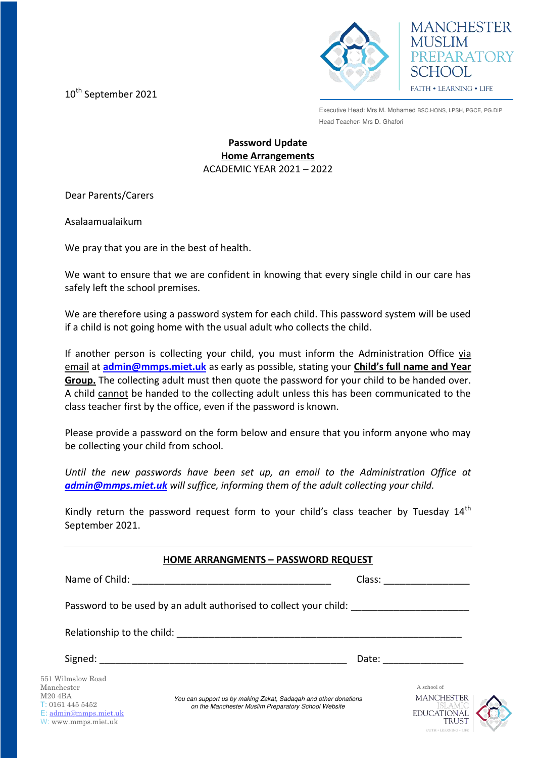10<sup>th</sup> September 2021



**MANCHESTER MUSLIM** PREPARATORY SCHOOL FAITH . LEARNING . LIFE

Executive Head: Mrs M. Mohamed BSC.HONS, LPSH, PGCE, PG.DIP Head Teacher: Mrs D. Ghafori

## **Password Update Home Arrangements**  ACADEMIC YEAR 2021 – 2022

Dear Parents/Carers

Asalaamualaikum

We pray that you are in the best of health.

We want to ensure that we are confident in knowing that every single child in our care has safely left the school premises.

We are therefore using a password system for each child. This password system will be used if a child is not going home with the usual adult who collects the child.

If another person is collecting your child, you must inform the Administration Office via email at **[admin@mmps.miet.uk](mailto:admin@mmps.miet.uk)** as early as possible, stating your **Child's full name and Year Group.** The collecting adult must then quote the password for your child to be handed over. A child cannot be handed to the collecting adult unless this has been communicated to the class teacher first by the office, even if the password is known.

Please provide a password on the form below and ensure that you inform anyone who may be collecting your child from school.

*Until the new passwords have been set up, an email to the Administration Office at [admin@mmps.miet.uk](mailto:admin@mmps.miet.uk) will suffice, informing them of the adult collecting your child.* 

Kindly return the password request form to your child's class teacher by Tuesday  $14<sup>th</sup>$ September 2021.

|                                                                                                                             | <b>HOME ARRANGMENTS - PASSWORD REQUEST</b>                                                                             |                                                                      |
|-----------------------------------------------------------------------------------------------------------------------------|------------------------------------------------------------------------------------------------------------------------|----------------------------------------------------------------------|
| Name of Child:                                                                                                              | Class:<br><u> 1980 - John Stein, Amerikaansk politik fan de Amerikaansk kommunister (</u>                              |                                                                      |
|                                                                                                                             | Password to be used by an adult authorised to collect your child:                                                      |                                                                      |
| Relationship to the child:                                                                                                  |                                                                                                                        |                                                                      |
| Signed:                                                                                                                     | Date:                                                                                                                  |                                                                      |
| 551 Wilmslow Road<br>Manchester<br>M20 4BA<br>T: 01614455452<br>$E: \text{admin}\omega$ mmps.miet.uk<br>W: www.mmps.miet.uk | You can support us by making Zakat, Sadagah and other donations<br>on the Manchester Muslim Preparatory School Website | A school of<br><b>MANCHESTER</b><br>ISEA MIC<br>EDUCATIONAL<br>TRUST |